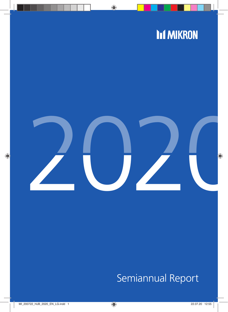# **Inf MIKRON**



# Semiannual Report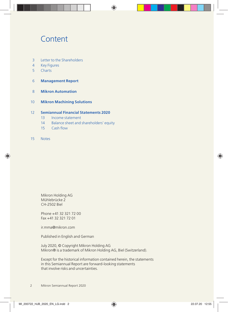## **Content**

- 3 Letter to the Shareholders
- 4 Key Figures
- 5 Charts
- 6 **Management Report**
- 8 **Mikron Automation**
- 10 **Mikron Machining Solutions**

## 12 **Semiannual Financial Statements 2020**

- 13 Income statement
- 14Balance sheet and shareholders' equity
- 15 Cash flow
- 15 Notes

Mikron Holding AG Mühlebrücke 2 CH-2502 Biel

Phone +41 32 321 72 00 Fax +41 32 321 72 01

ir.mma@mikron.com

Published in English and German

July 2020, © Copyright Mikron Holding AG Mikron® is a trademark of Mikron Holding AG, Biel (Switzerland).

Except for the historical information contained herein, the statements in this Semiannual Report are forward-looking statements that involve risks and uncertainties.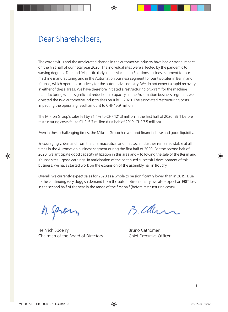## Dear Shareholders,

The coronavirus and the accelerated change in the automotive industry have had a strong impact on the first half of our fiscal year 2020. The individual sites were affected by the pandemic to varying degrees. Demand fell particularly in the Machining Solutions business segment for our machine manufacturing and in the Automation business segment for our two sites in Berlin and Kaunas, which operate exclusively for the automotive industry. We do not expect a rapid recovery in either of these areas. We have therefore initiated a restructuring program for the machine manufacturing with a significant reduction in capacity. In the Automation business segment, we divested the two automotive industry sites on July 1, 2020. The associated restructuring costs impacting the operating result amount to CHF 15.9 million.

The Mikron Group's sales fell by 31.4% to CHF 121.3 million in the first half of 2020. EBIT before restructuring costs fell to CHF -5.7 million (first half of 2019: CHF 7.5 million).

Even in these challenging times, the Mikron Group has a sound fnancial base and good liquidity.

Encouragingly, demand from the pharmaceutical and medtech industries remained stable at all times in the Automation business segment during the first half of 2020. For the second half of 2020, we anticipate good capacity utilization in this area and – following the sale of the Berlin and Kaunas sites – good earnings. In anticipation of the continued successful development of this business, we have started work on the expansion of the assembly hall in Boudry.

Overall, we currently expect sales for 2020 as a whole to be signifcantly lower than in 2019. Due to the continuing very sluggish demand from the automotive industry, we also expect an EBIT loss in the second half of the year in the range of the frst half (before restructuring costs).

h. Spran

Heinrich Spoerry, Theorem 2012 Shakes Bruno Cathomen, Chairman of the Board of Directors Chief Executive Officer

B. Clan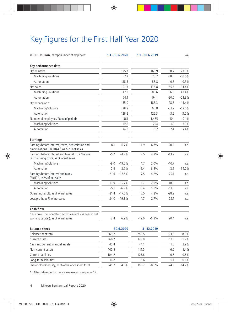## Key Figures for the First Half Year 2020

| in CHF million, except number of employees                                                                    |         | $1.1 - 30.6.2020$ |         | $1.1 - 30.6.2019$ |         | $+/-$    |
|---------------------------------------------------------------------------------------------------------------|---------|-------------------|---------|-------------------|---------|----------|
| Key performance data                                                                                          |         |                   |         |                   |         |          |
| Order intake                                                                                                  |         | 125.7             |         | 163.9             | $-38.2$ | $-23.3%$ |
| <b>Machining Solutions</b>                                                                                    |         | 37.2              |         | 75.2              | $-38.0$ | $-50.5%$ |
| Automation                                                                                                    |         | 88.5              |         | 88.8              | $-0.3$  | $-0.3%$  |
| Net sales                                                                                                     |         | 121.3             |         | 176.8             | $-55.5$ | $-31.4%$ |
| <b>Machining Solutions</b>                                                                                    |         | 47.3              |         | 83.6              | $-36.3$ | $-43.4%$ |
| Automation                                                                                                    |         | 74.1              |         | 94.1              | $-20.0$ | $-21.3%$ |
| Order backlog <sup>1)</sup>                                                                                   |         | 155.0             |         | 183.3             | $-28.3$ | $-15.4%$ |
| Machining Solutions                                                                                           |         | 28.9              |         | 60.8              | $-31.9$ | $-52.5%$ |
| Automation                                                                                                    |         | 126.2             |         | 122.3             | 3.9     | 3.2%     |
| Number of employees <sup>1)</sup> (end of period)                                                             |         | 1,361             |         | 1,465             | $-104$  | $-7.1%$  |
| Machining Solutions                                                                                           |         | 655               |         | 704               | $-49$   | $-7.0%$  |
| Automation                                                                                                    |         | 678               |         | 732               | $-54$   | $-7.4%$  |
| <b>Earnings</b>                                                                                               |         |                   |         |                   |         |          |
| Earnings before interest, taxes, depreciation and<br>amortizations (EBITDA) <sup>1)</sup> , as % of net sales | $-8.1$  | $-6.7%$           | 11.9    | 6.7%              | $-20.0$ | n.a.     |
| Earnings before interest and taxes (EBIT) <sup>1</sup> before<br>restructuring costs, as % of net sales       | $-5.7$  | $-4.7%$           | 7.5     | 4.2%              | $-13.2$ | n.a.     |
| <b>Machining Solutions</b>                                                                                    | $-9.0$  | $-19.0%$          | 1.7     | 2.0%              | $-10.7$ | n.a.     |
| Automation                                                                                                    | 2.9     | 3.9%              | 6.4     | 6.8%              | $-3.5$  | $-54.7%$ |
| Earnings before interest and taxes<br>(EBIT) <sup>1</sup> , as % of net sales                                 | $-21.6$ | $-17.8%$          | 7.5     | 4.2%              | $-29.1$ | n.a.     |
| Machining Solutions                                                                                           | $-16.9$ | $-35.7%$          | 1.7     | 2.0%              | $-18.6$ | n.a.     |
| Automation                                                                                                    | $-5.1$  | $-6.9%$           | 6.4     | 6.8%              | $-11.5$ | n.a.     |
| Operating result, as % of net sales                                                                           | $-21.4$ | $-17.6%$          | 7.5     | 4.2%              | $-28.9$ | n.a.     |
| Loss/profit, as % of net sales                                                                                | $-24.0$ | $-19.8%$          | 4.7     | 2.7%              | $-28.7$ | n.a.     |
| <b>Cash flow</b>                                                                                              |         |                   |         |                   |         |          |
| Cash flow from operating activities (incl. changes in net<br>working capital), as % of net sales              | 8.4     | 6.9%              | $-12.0$ | $-6.8%$           | 20.4    | n.a.     |
| <b>Balance sheet</b>                                                                                          |         | 30.6.2020         |         | 31.12.2019        |         |          |
| Balance sheet total                                                                                           | 266.2   |                   | 289.5   |                   | $-23.3$ | $-8.0%$  |
| Current assets                                                                                                | 160.7   |                   | 178.0   |                   | $-17.3$ | $-9.7%$  |
| Cash and current financial assets                                                                             | 45.4    |                   | 44.1    |                   | 1.3     | 2.9%     |
| Non-current assets                                                                                            | 105.5   |                   | 111.5   |                   | $-6.0$  | $-5.4%$  |
| <b>Current liabilities</b>                                                                                    | 104.2   |                   | 103.6   |                   | 0.6     | 0.6%     |
| Long-term liabilities                                                                                         | 16.7    |                   | 16.6    |                   | 0.1     | 0.6%     |
| Shareholders' equity, as % of balance sheet total                                                             | 145.2   | 54.6%             | 169.2   | 58.5%             | $-24.0$ | $-14.2%$ |

1) Alternative performance measures, see page 19.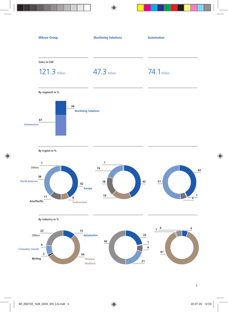

5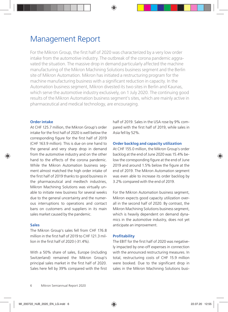## Management Report

For the Mikron Group, the first half of 2020 was characterized by a very low order intake from the automotive industry. The outbreak of the corona pandemic aggravated the situation. The massive drop in demand particularly affected the machine manufacturing of the Mikron Machining Solutions business segment and the Berlin site of Mikron Automation. Mikron has initiated a restructuring program for the machine manufacturing business with a signifcant reduction in capacity. In the Automation business segment, Mikron divested its two sites in Berlin and Kaunas, which serve the automotive industry exclusively, on 1 July 2020. The continuing good results of the Mikron Automation business segment's sites, which are mainly active in pharmaceutical and medical technology, are encouraging.

## **Order intake**

At CHF 125.7 million, the Mikron Group's order intake for the frst half of 2020 is well below the corresponding figure for the first half of 2019 (CHF 163.9 million). This is due on one hand to the general and very sharp drop in demand from the automotive industry and on the other hand to the effects of the corona pandemic. While the Mikron Automation business segment almost matched the high order intake of the frst half of 2019 thanks to good business in the pharmaceutical and medtech industries, Mikron Machining Solutions was virtually unable to initiate new business for several weeks due to the general uncertainty and the numerous interruptions to operations and contact bans on customers and suppliers in its main sales market caused by the pandemic.

## **Sales**

The Mikron Group's sales fell from CHF 176.8 million in the first half of 2019 to CHE 121.3 million in the frst half of 2020 (-31.4%).

With a 50% share of sales, Europe (including Switzerland) remained the Mikron Group's principal sales market in the first half of 2020. Sales here fell by 39% compared with the first

half of 2019. Sales in the USA rose by 9% compared with the first half of 2019, while sales in Asia fell by 52%.

## **Order backlog and capacity utilization**

At CHF 155.0 million, the Mikron Group's order backlog at the end of June 2020 was 15.4% below the corresponding figure at the end of June 2019 and around 1.5% below the figure at the end of 2019. The Mikron Automation segment was even able to increase its order backlog by 3.2% compared with the end of 2019.

For the Mikron Automation business segment, Mikron expects good capacity utilization overall in the second half of 2020. By contrast, the Mikron Machining Solutions business segment, which is heavily dependent on demand dynamics in the automotive industry, does not yet anticipate an improvement.

## **Profitability**

The EBIT for the first half of 2020 was negatively impacted by one-off expenses in connection with the announced restructuring measures. In total, restructuring costs of CHF 15.9 million were booked. Due to the significant drop in sales in the Mikron Machining Solutions busi-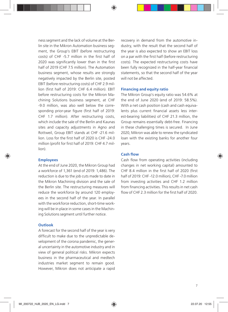ness segment and the lack of volume at the Berlin site in the Mikron Automation business segment, the Group's EBIT (before restructuring costs) of CHF -5.7 million in the frst half of 2020 was significantly lower than in the first half of 2019 (CHF 7.5 million). The Automation business segment, whose results are strongly negatively impacted by the Berlin site, posted EBIT (before restructuring costs) of CHF 2.9 million (frst half of 2019: CHF 6.4 million). EBIT before restructuring costs for the Mikron Machining Solutions business segment, at CHF -9.0 million, was also well below the corresponding prior-year figure (first half of 2019: CHF 1.7 million). After restructuring costs, which include the sale of the Berlin and Kaunas sites and capacity adjustments in Agno and Rottweil, Group EBIT stands at CHF -21.6 million. Loss for the first half of 2020 is CHE-24.0 million (profit for first half of 2019: CHF 4.7 million).

## **Employees**

At the end of June 2020, the Mikron Group had a workforce of 1,361 (end of 2019: 1,486). The reduction is due to the job cuts made to date in the Mikron Machining division and the sale of the Berlin site. The restructuring measures will reduce the workforce by around 120 employees in the second half of the year. In parallel with the workforce reduction, short-time working will be in place in some cases in the Machining Solutions segment until further notice.

## **Outlook**

A forecast for the second half of the year is very difficult to make due to the unpredictable development of the corona pandemic, the general uncertainty in the automotive industry and in view of general political risks. Mikron expects business in the pharmaceutical and medtech industries market segment to remain good. However, Mikron does not anticipate a rapid recovery in demand from the automotive industry, with the result that the second half of the year is also expected to show an EBIT loss on a par with the frst half (before restructuring costs). The expected restructuring costs have been fully recognized in the half-year fnancial statements, so that the second half of the year will not be affected.

## **Financing and equity ratio**

The Mikron Group's equity ratio was 54.6% at the end of June 2020 (end of 2019: 58.5%). With a net cash position (cash and cash equivalents plus current fnancial assets less interest-bearing liabilities) of CHF 21.3 million, the Group remains essentially debt-free. Financing in these challenging times is secured. In June 2020, Mikron was able to renew the syndicated loan with the existing banks for another four years.

## Cash flow

Cash flow from operating activities (including changes in net working capital) amounted to CHF 8.4 million in the first half of 2020 (first half of 2019: CHF -12.0 million), CHF -7.0 million from investing activities and CHF 1.2 million from financing activities. This results in net cash flow of CHE 2.3 million for the first half of 2020.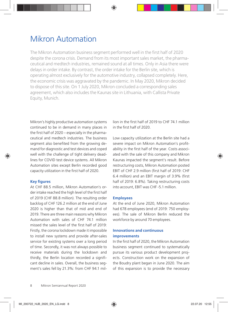## Mikron Automation

The Mikron Automation business segment performed well in the frst half of 2020 despite the corona crisis. Demand from its most important sales market, the pharmaceutical and medtech industries, remained sound at all times. Only in Asia there were delays in order intake. By contrast, the order intake for the Berlin site, which is operating almost exclusively for the automotive industry, collapsed completely. Here, the economic crisis was aggravated by the pandemic. In May 2020, Mikron decided to dispose of this site. On 1 July 2020, Mikron concluded a corresponding sales agreement, which also includes the Kaunas site in Lithuania, with Callista Private Equity, Munich.

Mikron's highly productive automation systems continued to be in demand in many places in the first half of 2020 – especially in the pharmaceutical and medtech industries. The business segment also benefited from the growing demand for diagnostic and test devices and coped well with the challenge of tight delivery deadlines for COVID test device systems. All Mikron Automation sites except Berlin recorded good capacity utilization in the first half of 2020.

## **Key figures**

At CHF 88.5 million, Mikron Automation's order intake reached the high level of the first half of 2019 (CHF 88.8 million). The resulting order backlog of CHF 126.2 million at the end of June 2020 is higher than that of mid and end of 2019. There are three main reasons why Mikron Automation with sales of CHF 74.1 million missed the sales level of the first half of 2019: Firstly, the corona lockdown made it impossible to install new systems and provide after-sales service for existing systems over a long period of time. Secondly, it was not always possible to receive materials during the lockdown and thirdly, the Berlin location recorded a significant decline in sales. Overall, the business segment's sales fell by 21.3%: from CHF 94.1 million in the frst half of 2019 to CHF 74.1 million in the frst half of 2020.

Low capacity utilization at the Berlin site had a severe impact on Mikron Automation's profitability in the first half of the year. Costs associated with the sale of this company and Mikron Kaunas impacted the segment's result. Before restructuring costs, Mikron Automation posted EBIT of CHF 2.9 million (frst half of 2019: CHF 6.4 million) and an EBIT margin of 3.9% (frst half of 2019: 6.8%). Taking restructuring costs into account, EBIT was CHF -5.1 million.

## **Employees**

At the end of June 2020, Mikron Automation had 678 employees (end of 2019: 750 employees). The sale of Mikron Berlin reduced the workforce by around 70 employees.

## **Innovations and continuous improvements**

In the first half of 2020, the Mikron Automation business segment continued to systematically pursue its various product development projects. Construction work on the expansion of the Boudry plant began in June 2020. The aim of this expansion is to provide the necessary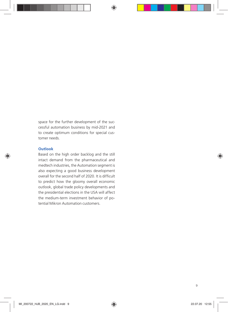space for the further development of the successful automation business by mid-2021 and to create optimum conditions for special customer needs.

## **Outlook**

Based on the high order backlog and the still intact demand from the pharmaceutical and medtech industries, the Automation segment is also expecting a good business development overall for the second half of 2020. It is difficult to predict how the gloomy overall economic outlook, global trade policy developments and the presidential elections in the USA will affect the medium-term investment behavior of potential Mikron Automation customers.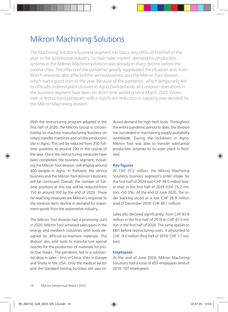## Mikron Machining Solutions

The Machining Solutions business segment has had a very difficult first half of the year. In the automotive industry, its main sales market, demand for production systems in the Mikron Machining division was already in sharp decline before the corona crisis. The effects of the pandemic greatly aggravated the situation and, from March onwards, also affected the service business and the Mikron Tool division, which had a good start to the year. Because of the pandemic, which temporarily led to officially ordered plant closures in Agno (Switzerland), all European operations in the business segment have been on short-time working since March 2020. Moreover, a restructuring program with a signifcant reduction in capacity was decided for the Mikron Machining division.

With the restructuring program adopted in the first half of 2020, the Mikron Group is concentrating its machine manufacturing business on rotary transfer machines and on the production site in Agno. This will be reduced from 350 fulltime positions to around 290 in the course of the year. Once the restructuring measures have been completed, the business segment, including the Mikron Tool division, will employ around 400 people in Agno. In Rottweil, the service business and the Mikron Tool division's business will be continued. Overall, the number of fulltime positions at this site will be reduced from 150 to around 100 by the end of 2020. These far-reaching measures are Mikron's response to the medium-term decline in demand for investment goods from the automotive industry.

The Mikron Tool division had a promising start in 2020. Mikron Tool achieved sales gains in the energy and medtech industries with tools designed for difficult-to-machine materials. The division also sold tools to manufacture special nozzles for the production of materials for protective masks. The pandemic led to a substantial drop in sales – frst in China, then in Europe and finally in the USA. Only the medical sector and the standard tooling business still saw reduced demand for high-tech tools. Throughout the entire pandemic period to date, the division has succeeded in maintaining supply availability worldwide. During the lockdown in Agno, Mikron Tool was able to transfer substantial production volumes to its sister plant in Rottweil.

## **Key figures**

At CHF 37.2 million, the Mikron Machining Solutions business segment's order intake for the first half of 2020 was CHE 38.0 million lower than in the frst half of 2019 (CHF 75.2 million, -50.5%). At the end of June 2020, the order backlog stood at a low CHF 28.9 million (end of December 2019: CHF 38.1 million).

Sales also declined significantly: from CHF 83.6 million in the first half of 2019 to CHE 47.3 million in the frst half of 2020. The same applies to EBIT before restructuring costs. It amounted to CHF-9.0 million (first half of 2019: CHF 1.7 million).

## **Employees**

At the end of June 2020, Mikron Machining Solutions had a total of 655 employees (end of 2019: 707 employees).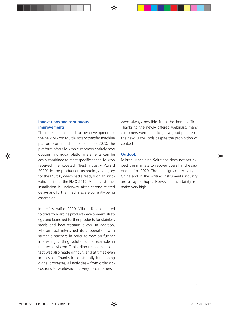## **Innovations and continuous improvements**

The market launch and further development of the new Mikron MultiX rotary transfer machine platform continued in the frst half of 2020. The platform offers Mikron customers entirely new options. Individual platform elements can be easily combined to meet specific needs. Mikron received the coveted "Best Industry Award 2020" in the production technology category for the MultiX, which had already won an innovation prize at the EMO 2019. A first customer installation is underway after corona-related delays and further machines are currently being assembled.

In the frst half of 2020, Mikron Tool continued to drive forward its product development strategy and launched further products for stainless steels and heat-resistant alloys. In addition, Mikron Tool intensifed its cooperation with strategic partners in order to develop further interesting cutting solutions, for example in medtech. Mikron Tool's direct customer contact was also made difficult, and at times even impossible. Thanks to consistently functioning digital processes, all activities – from order discussions to worldwide delivery to customers – were always possible from the home office. Thanks to the newly offered webinars, many customers were able to get a good picture of the new Crazy Tools despite the prohibition of contact.

## **Outlook**

Mikron Machining Solutions does not yet expect the markets to recover overall in the second half of 2020. The frst signs of recovery in China and in the writing instruments industry are a ray of hope. However, uncertainty remains very high.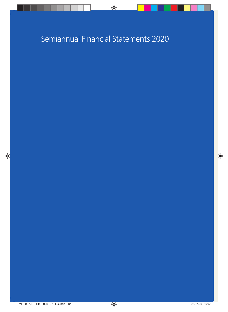## Semiannual Financial Statements 2020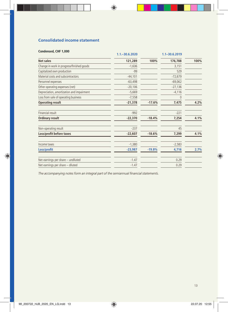## **Consolidated income statement**

|                                           | 1.1. - 30.6.2020 |          | 1.1-30.6.2019 |      |
|-------------------------------------------|------------------|----------|---------------|------|
| Net sales                                 | 121,289          | 100%     | 176,788       | 100% |
| Change in work in progress/finished goods | $-1,636$         |          | 3,151         |      |
| Capitalized own production                | $-99$            |          | 529           |      |
| Material costs and subcontractors         | $-44,101$        |          | $-72,679$     |      |
| Personnel expenses                        | $-63,498$        |          | $-69,062$     |      |
| Other operating expenses (net)            | $-20,106$        |          | $-27,136$     |      |
| Depreciation, amortization and impairment | $-5,669$         |          | $-4,116$      |      |
| Loss from sale of operating business      | $-7,558$         |          | $\mathbf 0$   |      |
| <b>Operating result</b>                   | $-21,378$        | $-17.6%$ | 7,475         | 4.2% |
| Financial result                          | $-992$           |          | $-221$        |      |
| <b>Ordinary result</b>                    | $-22,370$        | $-18.4%$ | 7,254         | 4.1% |
| Non-operating result                      | $-237$           |          | 45            |      |
| Loss/profit before taxes                  | $-22,607$        | $-18.6%$ | 7,299         | 4.1% |
| Income taxes                              | $-1,380$         |          | $-2,583$      |      |
| Loss/profit                               | $-23,987$        | $-19.8%$ | 4,716         | 2.7% |
| Net earnings per share - undiluted        | $-1.47$          |          | 0.29          |      |
| Net earnings per share - diluted          | $-1.47$          |          | 0.29          |      |

*The accompanying notes form an integral part of the semiannual fnancial statements.*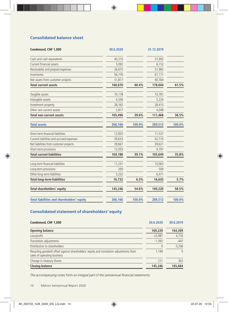## **Consolidated balance sheet**

| Condensed, CHF 1,000                              | 30.6.2020 |        | 31.12.2019 |        |
|---------------------------------------------------|-----------|--------|------------|--------|
| Cash and cash equivalents                         | 40,310    |        | 37,992     |        |
| Current financial assets                          | 5,092     |        | 6,152      |        |
| Receivables and prepaid expenses                  | 26,675    |        | 31,965     |        |
| Inventories                                       | 56,776    |        | 61,171     |        |
| Net assets from customer projects                 | 31,817    |        | 40,764     |        |
| <b>Total current assets</b>                       | 160,670   | 60.4%  | 178,044    | 61.5%  |
| Tangible assets                                   | 70,178    |        | 73,781     |        |
| Intangible assets                                 | 4,336     |        | 5,224      |        |
| Investment property                               | 28,165    |        | 28,415     |        |
| Other non-current assets                          | 2,817     |        | 4,048      |        |
| Total non-current assets                          | 105,496   | 39.6%  | 111,468    | 38.5%  |
| <b>Total assets</b>                               | 266,166   | 100.0% | 289,512    | 100.0% |
| Short-term financial liabilities                  | 12,835    |        | 11,527     |        |
| Current liabilities and accrued expenses          | 39,633    |        | 42,710     |        |
| Net liabilities from customer projects            | 39,667    |        | 39,621     |        |
| Short-term provisions                             | 12,053    |        | 9,791      |        |
| <b>Total current liabilities</b>                  | 104,188   | 39.1%  | 103,649    | 35.8%  |
| Long-term financial liabilities                   | 11,231    |        | 10,063     |        |
| Long-term provisions                              | 269       |        | 509        |        |
| Other long-term liabilities                       | 5,232     |        | 6,071      |        |
| <b>Total long-term liabilities</b>                | 16,732    | 6.3%   | 16,643     | 5.7%   |
| <b>Total shareholders' equity</b>                 | 145,246   | 54.6%  | 169,220    | 58.5%  |
| <b>Total liabilities and shareholders' equity</b> | 266,166   | 100.0% | 289,512    | 100.0% |

## **Consolidated statement of shareholders' equity**

| Condensed, CHF 1,000                                                                                                   | 30.6.2020 | 30.6.2019 |
|------------------------------------------------------------------------------------------------------------------------|-----------|-----------|
| Opening balance                                                                                                        | 169,220   | 164,309   |
| Loss/profit                                                                                                            | $-23,987$ | 4,716     |
| Translation adjustments                                                                                                | $-1,392$  | $-447$    |
| Distribution to shareholders                                                                                           | $\Omega$  | $-3,256$  |
| Recycling goodwill offset against shareholders' equity and translation adjustments from<br>sales of operating business | 1.194     | $\Omega$  |
| Change in treasury shares                                                                                              | 211       | 362       |
| <b>Closing balance</b>                                                                                                 | 145,246   | 165.684   |

*The accompanying notes form an integral part of the semiannual fnancial statements.*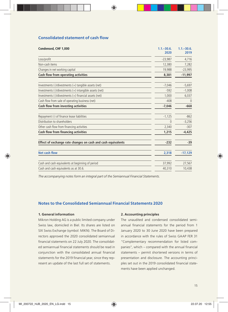## **Consolidated statement of cash fow**

| Condensed, CHF 1,000                                         | $1.1 - 30.6$ .<br>2020 | $1.1 - 30.6$ .<br>2019 |
|--------------------------------------------------------------|------------------------|------------------------|
| Loss/profit                                                  | $-23,987$              | 4,716                  |
| Non-cash items                                               | 12,380                 | 7,282                  |
| Changes in net working capital                               | 19,988                 | $-23,995$              |
| Cash flow from operating activities                          | 8,381                  | $-11,997$              |
| Investments (-)/divestments (+) tangible assets (net)        | $-7,046$               | $-5,697$               |
| Investments (-)/divestments (+) intangible assets (net)      | $-592$                 | $-1,008$               |
| Investments (-)/divestments (+) financial assets (net)       | 1,000                  | 6,037                  |
| Cash flow from sale of operating business (net)              | $-408$                 | $\Omega$               |
| Cash flow from investing activities                          | $-7,046$               | $-668$                 |
| Repayment (-) of finance lease liabilities                   | $-1,125$               | $-862$                 |
| Distribution to shareholders                                 | $\Omega$               | $-3,256$               |
| Other cash flow from financing activities                    | 2,340                  | $-307$                 |
| Cash flow from financing activities                          | 1,215                  | $-4,425$               |
| Effect of exchange rate changes on cash and cash equivalents | $-232$                 | $-39$                  |
| <b>Net cash flow</b>                                         | 2,318                  | $-17,129$              |
| Cash and cash equivalents at beginning of period             | 37,992                 | 27,567                 |
| Cash and cash equivalents as at 30.6.                        | 40,310                 | 10,438                 |

*The accompanying notes form an integral part of the Semiannual Financial Statements.*

## **Notes to the Consolidated Semiannual Financial Statements 2020**

## **1. General information**

Mikron Holding AG is a public limited company under Swiss law, domiciled in Biel. Its shares are listed on SIX Swiss Exchange (symbol: MIKN). The Board of Directors approved the 2020 consolidated semiannual fnancial statements on 22 July 2020. The consolidated semiannual fnancial statements should be read in conjunction with the consolidated annual fnancial statements for the 2019 fnancial year, since they represent an update of the last full set of statements.

### **2. Accounting principles**

The unaudited and condensed consolidated semiannual financial statements for the period from 1 January 2020 to 30 June 2020 have been prepared in accordance with the rules of Swiss GAAP FER 31 "Complementary recommendation for listed companies", which – compared with the annual financial statements – permit shortened versions in terms of presentation and disclosure. The accounting principles set out in the 2019 consolidated fnancial statements have been applied unchanged.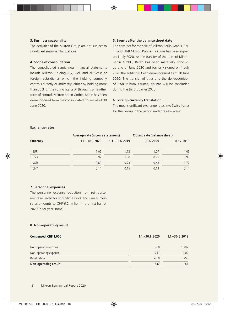### **3. Business seasonality**

The activities of the Mikron Group are not subject to significant seasonal fluctuations.

### **4. Scope of consolidation**

The consolidated semiannual fnancial statements include Mikron Holding AG, Biel, and all Swiss or foreign subsidiaries which the holding company controls directly or indirectly, either by holding more than 50% of the voting rights or through some other form of control. Mikron Berlin GmbH, Berlin has been de-recognized from the consolidated figures as of 30 June 2020.

## **5. Events after the balance sheet date**

The contract for the sale of Mikron Berlin GmbH, Berlin and UAB Mikron Kaunas, Kaunas has been signed on 1 July 2020. As the transfer of the titles of Mikron Berlin GmbH, Berlin has been materially concluded end of June 2020 and formally signed on 1 July 2020 the entity has been de-recognized as of 30 June 2020. The transfer of titles and the de-recognition of UAB Mikron Kaunas, Kaunas will be concluded during the third quarter 2020.

### **6. Foreign currency translation**

The most significant exchange rates into Swiss francs for the Group in the period under review were:

## **Exchange rates**

|          | Average rate (income statement) |                   | Closing rate (balance sheet) |            |
|----------|---------------------------------|-------------------|------------------------------|------------|
| Currency | $1.1 - 30.6.2020$               | $1.1 - 30.6.2019$ | 30.6.2020                    | 31.12.2019 |
| 1 EUR    | 1.06                            | 1.13              | 1.07                         | 1.09       |
| 1 USD    | 0.97                            | 1.00              | 0.95                         | 0.98       |
| 1 SGD    | 0.69                            | 0.73              | 0.68                         | 0.72       |
| 1 CNY    | 0.14                            | 0.15              | 0.13                         | 0.14       |

#### **7. Personnel expenses**

The personnel expense reduction from reimbursements received for short-time work and similar measures amounts to CHF 6.2 million in the first half of 2020 (prior year: none).

### **8. Non-operating result**

| Condensed, CHF 1,000  | $1.1 - 30.6.2020$ | $1.1 - 30.6.2019$ |
|-----------------------|-------------------|-------------------|
| Non-operating income  | 760               | 1.297             |
| Non-operating expense | $-747$            | $-1,002$          |
| Revaluation           | $-250$            | $-250$            |
| Non-operating result  | $-237$            | 45                |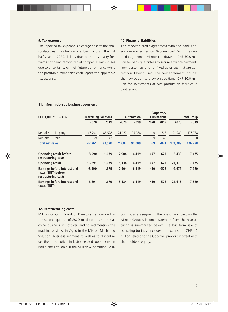### **9. Tax expense**

The reported tax expense is a charge despite the consolidated earnings before taxes being a loss in the first half-year of 2020. This is due to the loss carry-forwards not being recognized at companies with losses due to uncertainty of their future performance while the profitable companies each report the applicable tax expense.

## **10. Financial liabilities**

The renewed credit agreement with the bank consortium was signed on 26 June 2020. With the new credit agreement Mikron can draw on CHF 50.0 million for bank guarantees to secure advance payments from customers and for fxed advances that are currently not being used. The new agreement includes the new option to draw on additional CHF 20.0 million for investments at two production facilities in Switzerland.

| CHF 1,000/1.1.-30.6.                                                       | <b>Machining Solutions</b> |        |          | <b>Automation</b> |              |        |             | Corporate/<br><b>Eliminations</b> |  |  | Total Group |
|----------------------------------------------------------------------------|----------------------------|--------|----------|-------------------|--------------|--------|-------------|-----------------------------------|--|--|-------------|
|                                                                            | 2020                       | 2019   | 2020     | 2019              | 2020         | 2019   | 2020        | 2019                              |  |  |             |
| Net sales - third party                                                    | 47,202                     | 83,528 | 74,087   | 94,088            | $\mathbf{0}$ | $-828$ | 121,289     | 176,788                           |  |  |             |
| Net sales - Group                                                          | 59                         | 42     | $\Omega$ |                   | $-59$        | $-43$  | $\mathbf 0$ | $\theta$                          |  |  |             |
| <b>Total net sales</b>                                                     | 47,261                     | 83,570 | 74,087   | 94,089            | $-59$        | $-871$ | 121.289     | 176,788                           |  |  |             |
| <b>Operating result before</b><br>restructuring costs                      | $-8,990$                   | 1,679  | 2.904    | 6.419             | 647          | $-623$ | $-5.439$    | 7,475                             |  |  |             |
| <b>Operating result</b>                                                    | $-16,891$                  | 1,679  | $-5,134$ | 6,419             | 647          | $-623$ | $-21,378$   | 7,475                             |  |  |             |
| Earnings before interest and<br>taxes (EBIT) before<br>restructuring costs | $-8.990$                   | 1.679  | 2.904    | 6.419             | 410          | $-578$ | $-5,676$    | 7,520                             |  |  |             |
| Earnings before interest and<br>taxes (EBIT)                               | $-16,891$                  | 1,679  | $-5,134$ | 6,419             | 410          | $-578$ | $-21,615$   | 7,520                             |  |  |             |

### **11. Information by business segment**

#### **12. Restructuring costs**

Mikron Group's Board of Directors has decided in the second quarter of 2020 to discontinue the machine business in Rottweil and to redimension the machine business in Agno in the Mikron Machining Solutions business segment as well as to discontinue the automotive industry related operations in Berlin and Lithuania in the Mikron Automation Solutions business segment. The one-time impact on the Mikron Group's income statement from the restructuring is summarized below. The loss from sale of operating business includes the expense of CHF 1.0 million related to the Goodwill previously offset with shareholders' equity.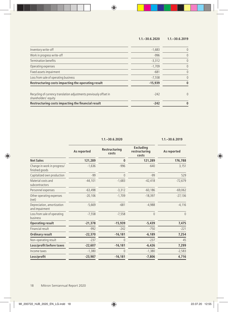## **1.1.–30.6.2020 1.1.–30.6.2019**

| Restructuring costs impacting the financial result                                         | $-242$    |   |
|--------------------------------------------------------------------------------------------|-----------|---|
| Recycling of currency translation adjustments previously offset in<br>shareholders' equity | $-242$    | C |
| Restructuring costs impacting the operating result                                         | $-15.939$ |   |
| Loss from sale of operating business                                                       | $-7.558$  |   |
| Fixed assets impairment                                                                    | $-681$    |   |
| Operating expenses                                                                         | $-1,709$  |   |
| <b>Termination benefits</b>                                                                | $-3,312$  |   |
| Work in progress write-off                                                                 | $-996$    |   |
| Inventory write-off                                                                        | $-1,683$  |   |
|                                                                                            |           |   |

**1.1.–30.6.2020 1.1.–30.6.2019**

|                                               | As reported | Restructuring<br>costs | Excluding<br>restructuring<br>costs | As reported |
|-----------------------------------------------|-------------|------------------------|-------------------------------------|-------------|
| <b>Net Sales</b>                              | 121,289     | $\bf{0}$               | 121,289                             | 176,788     |
| Change in work in progress/<br>finished goods | $-1,636$    | $-996$                 | $-640$                              | 3,151       |
| Capitalized own production                    | $-99$       | 0                      | $-99$                               | 529         |
| Material costs and<br>subcontractors          | $-44,101$   | $-1,683$               | $-42,418$                           | $-72,679$   |
| Personnel expenses                            | $-63,498$   | $-3,312$               | $-60,186$                           | $-69,062$   |
| Other operating expenses<br>(net)             | $-20,106$   | $-1,709$               | $-18,397$                           | $-27,136$   |
| Depreciation, amortization<br>and impairment  | $-5,669$    | $-681$                 | $-4,988$                            | $-4,116$    |
| Loss from sale of operating<br>business       | $-7,558$    | $-7,558$               | $\theta$                            | $\Omega$    |
| <b>Operating result</b>                       | $-21,378$   | $-15,939$              | $-5,439$                            | 7,475       |
| Financial result                              | $-992$      | $-242$                 | $-750$                              | $-221$      |
| Ordinary result                               | $-22,370$   | $-16,181$              | $-6.189$                            | 7,254       |
| Non-operating result                          | $-237$      | 0                      | $-237$                              | 45          |
| Loss/profit before taxes                      | $-22,607$   | $-16,181$              | $-6,426$                            | 7,299       |
| Income taxes                                  | $-1,380$    | 0                      | $-1,380$                            | $-2,583$    |
| Loss/profit                                   | $-23,987$   | $-16,181$              | $-7,806$                            | 4,716       |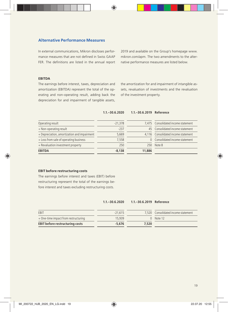## **Alternative Performance Measures**

In external communications, Mikron discloses performance measures that are not defned in Swiss GAAP FER. The definitions are listed in the annual report 2019 and available on the Group's homepage www. mikron.com/apm. The two amendments to the alternative performance measures are listed below.

## **EBITDA**

The earnings before interest, taxes, depreciation and amortization (EBITDA) represent the total of the operating and non-operating result, adding back the depreciation for and impairment of tangible assets,

the amortization for and impairment of intangible assets, revaluation of investments and the revaluation of the investment property.

**1.1.–30.6.2020 1.1.–30.6.2019 Reference**

| Operating result                            | $-21,378$ |        | 7,475 Consolidated income statement |
|---------------------------------------------|-----------|--------|-------------------------------------|
| + Non-operating result                      | $-237$    |        | 45 Consolidated income statement    |
| + Depreciation, amortization and impairment | 5.669     |        | 4,116 Consolidated income statement |
| + Loss from sale of operating business      | 7.558     |        | 0 Consolidated income statement     |
| + Revaluation investment property           | 250       | 250.   | Note 8                              |
| <b>EBITDA</b>                               | $-8.138$  | 11,886 |                                     |

### **EBIT before restructuring costs**

The earnings before interest and taxes (EBIT) before restructuring represent the total of the earnings before interest and taxes excluding restructuring costs.

|  | $1.1 - 30.6.2020$ | 1.1. - 30.6.2019 Reference |  |
|--|-------------------|----------------------------|--|
|--|-------------------|----------------------------|--|

| EBIT                                   | $-21.615$ |       | 7,520 Consolidated income statement |
|----------------------------------------|-----------|-------|-------------------------------------|
| + One-time impact from restructuring   | 15,939    |       | $0$ Note 12                         |
| <b>EBIT before restructuring costs</b> | $-5.676$  | 7.520 |                                     |